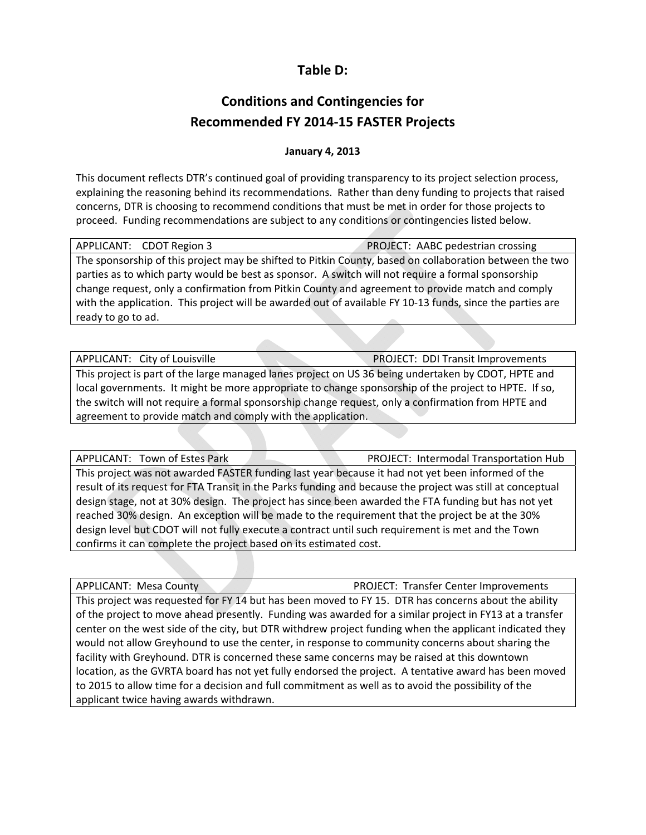## **Table D:**

## **Conditions and Contingencies for Recommended FY 2014‐15 FASTER Projects**

## **January 4, 2013**

This document reflects DTR's continued goal of providing transparency to its project selection process, explaining the reasoning behind its recommendations. Rather than deny funding to projects that raised concerns, DTR is choosing to recommend conditions that must be met in order for those projects to proceed. Funding recommendations are subject to any conditions or contingencies listed below.

| APPLICANT: CDOT Region 3                                                                                  | PROJECT: AABC pedestrian crossing |
|-----------------------------------------------------------------------------------------------------------|-----------------------------------|
| The sponsorship of this project may be shifted to Pitkin County, based on collaboration between the two   |                                   |
| parties as to which party would be best as sponsor. A switch will not require a formal sponsorship        |                                   |
| change request, only a confirmation from Pitkin County and agreement to provide match and comply          |                                   |
| with the application. This project will be awarded out of available FY 10-13 funds, since the parties are |                                   |
| ready to go to ad.                                                                                        |                                   |

APPLICANT: City of Louisville **BEE ACCOUNTED A PROJECT: DDI Transit Improvements** This project is part of the large managed lanes project on US 36 being undertaken by CDOT, HPTE and local governments. It might be more appropriate to change sponsorship of the project to HPTE. If so, the switch will not require a formal sponsorship change request, only a confirmation from HPTE and agreement to provide match and comply with the application.

APPLICANT: Town of Estes Park **Business Contract Contract PROJECT:** Intermodal Transportation Hub

This project was not awarded FASTER funding last year because it had not yet been informed of the result of its request for FTA Transit in the Parks funding and because the project was still at conceptual design stage, not at 30% design. The project has since been awarded the FTA funding but has not yet reached 30% design. An exception will be made to the requirement that the project be at the 30% design level but CDOT will not fully execute a contract until such requirement is met and the Town confirms it can complete the project based on its estimated cost.

APPLICANT: Mesa County **Canadian Account ACCOUNTED ACCOUNT** PROJECT: Transfer Center Improvements This project was requested for FY 14 but has been moved to FY 15. DTR has concerns about the ability of the project to move ahead presently. Funding was awarded for a similar project in FY13 at a transfer center on the west side of the city, but DTR withdrew project funding when the applicant indicated they would not allow Greyhound to use the center, in response to community concerns about sharing the facility with Greyhound. DTR is concerned these same concerns may be raised at this downtown location, as the GVRTA board has not yet fully endorsed the project. A tentative award has been moved to 2015 to allow time for a decision and full commitment as well as to avoid the possibility of the applicant twice having awards withdrawn.